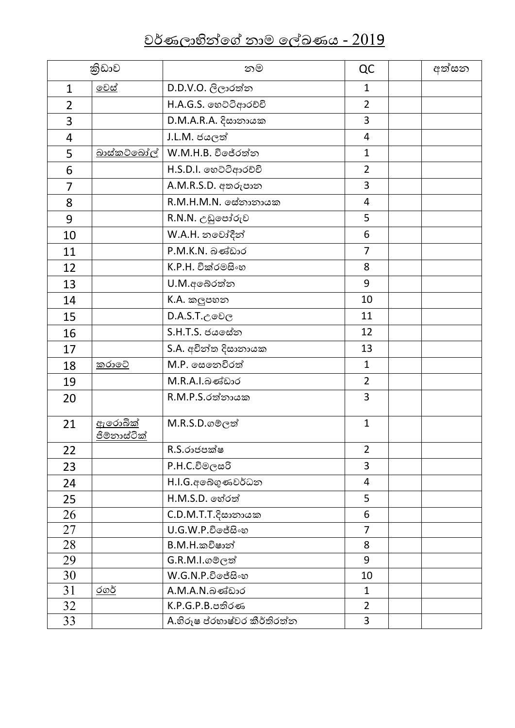| කිඩාව          |                                       | නම                           | QC             | අත්සන |
|----------------|---------------------------------------|------------------------------|----------------|-------|
| $\mathbf{1}$   | <u>මෙස්</u>                           | D.D.V.O. ලිලාරත්න            | 1              |       |
| $\overline{2}$ |                                       | H.A.G.S. හෙට්ටිආරච්චි        | $\overline{2}$ |       |
| 3              |                                       | D.M.A.R.A. දිසානායක          | 3              |       |
| 4              |                                       | J.L.M. ජයලත්                 | $\overline{4}$ |       |
| 5              | <u>බාස්කට්බෝල්</u>                    | W.M.H.B. විජේරත්න            | $\mathbf{1}$   |       |
| 6              |                                       | H.S.D.I. හෙට්ටිආරච්චි        | $\overline{2}$ |       |
| $\overline{7}$ |                                       | A.M.R.S.D. අතරුපාන           | 3              |       |
| 8              |                                       | R.M.H.M.N. මස්තානායක         | 4              |       |
| 9              |                                       | R.N.N. උඩුපෝරුව              | 5              |       |
| 10             |                                       | W.A.H. නවෝදීන්               | 6              |       |
| 11             |                                       | P.M.K.N. බණ්ඩාර              | $\overline{7}$ |       |
| 12             |                                       | K.P.H. වික්රමසිංහ            | 8              |       |
| 13             |                                       | U.M.අබේරත්න                  | 9              |       |
| 14             |                                       | K.A. කලුපහන                  | 10             |       |
| 15             |                                       | $D.A.S.T.c$ මවල              | 11             |       |
| 16             |                                       | S.H.T.S. ජය සේන              | 12             |       |
| 17             |                                       | S.A. අචින්ත දිසානායක         | 13             |       |
| 18             | <u>කරාවේ</u>                          | M.P. සෙනෙවිරත්               | $\mathbf{1}$   |       |
| 19             |                                       | M.R.A.I.බණ්ඩාර               | $\overline{2}$ |       |
| 20             |                                       | R.M.P.S.රත්නායක              | 3              |       |
| 21             | <u>ඇරොබික්</u><br><u>ජිම්නාස්ටික්</u> | M.R.S.D.ගමලත්                | $\mathbf{1}$   |       |
| 22             |                                       | R.S.රාජපක්ෂ                  | $\overline{2}$ |       |
| 23             |                                       | $P.H.C.$ විමලසරි             | 3              |       |
| 24             |                                       | H.I.G.අබේගුණවර්ධන            | 4              |       |
| 25             |                                       | H.M.S.D. හේරත්               | 5              |       |
| 26             |                                       | $C.D.M.T.T.\xi$ සානායක       | 6              |       |
| 27             |                                       | $U.G.W.P.$ විජේසිංහ          | $\overline{7}$ |       |
| 28             |                                       | B.M.H.කවිෂාන්                | 8              |       |
| 29             |                                       | G.R.M.I.ගමලත්                | 9              |       |
| 30             |                                       | $W.G.N.P.$ විජේසිංහ          | 10             |       |
| 31             | $\overline{000}$                      | A.M.A.N.බණ්ඩාර               | 1              |       |
| 32             |                                       | K.P.G.P.B.පතිරණ              | $\overline{2}$ |       |
| 33             |                                       | A.හිරූෂ ප්රහාෂ්වර කීර්තිරත්ත | $\overline{3}$ |       |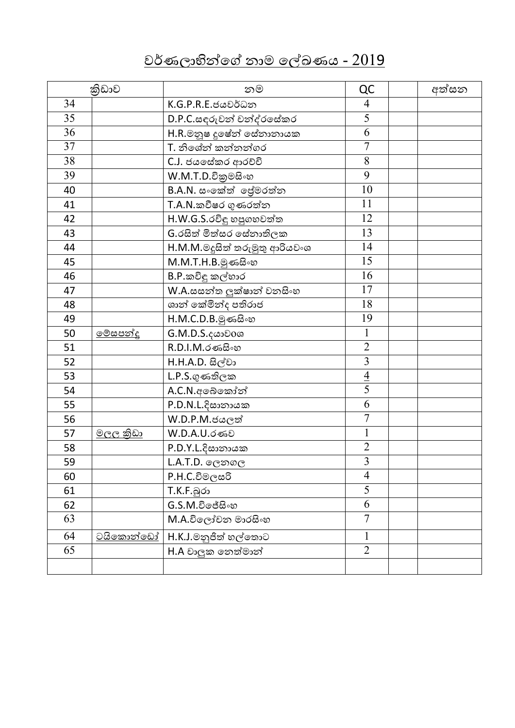|    | කිුඩාව           | නම                                         | QC             | අත්සන |
|----|------------------|--------------------------------------------|----------------|-------|
| 34 |                  | K.G.P.R.E.ජයවර්ධන                          | $\overline{4}$ |       |
| 35 |                  | D.P.C.සඳුරුවන් චන්ද්රසේකර                  | $\overline{5}$ |       |
| 36 |                  | $H.R.\circled$ නූෂ දූෂේත් <u>ඉස්තානායක</u> | 6              |       |
| 37 |                  | T. නිශේන් කන්නන්ගර                         | $\overline{7}$ |       |
| 38 |                  | C.J. ජයසේකර ආරච්චි                         | 8              |       |
| 39 |                  | W.M.T.D.විකුමසිංහ                          | 9              |       |
| 40 |                  | B.A.N. සංකේත් ලේමරත්න                      | 10             |       |
| 41 |                  | T.A.N.කවීෂර ගුණරත්න                        | 11             |       |
| 42 |                  | H.W.G.S.රවිඳු හපුගහවත්ත                    | 12             |       |
| 43 |                  | G. රසිත් මිත්සර සේනාතිලක                   | 13             |       |
| 44 |                  | H.M.M.මදූසිත් තරුමුතු ආරියවංශ              | 14             |       |
| 45 |                  | M.M.T.H.B.මුණසිංහ                          | 15             |       |
| 46 |                  | B.P.කවිඳු කල්හාර                           | 16             |       |
| 47 |                  | W.A.සසන්ත ලුක්ෂාන් වනසිංහ                  | 17             |       |
| 48 |                  | ශාන් කේමින්ද පතිරාජ                        | 18             |       |
| 49 |                  | H.M.C.D.B.මුණසිංහ                          | 19             |       |
| 50 | <u>මේසපන්දු</u>  | G.M.D.S. දයාව0ශ                            | 1              |       |
| 51 |                  | R.D.I.M.රණසිංහ                             | $\overline{2}$ |       |
| 52 |                  | H.H.A.D. සිල්වා                            | $\overline{3}$ |       |
| 53 |                  | $L.P.S.$ ගුණතිලක                           | $\frac{4}{5}$  |       |
| 54 |                  | A.C.N.අබෙකෝන්                              |                |       |
| 55 |                  | P.D.N.L. දිසානායක                          | 6              |       |
| 56 |                  | $W.D.P.M.$ ජයලත්                           | $\overline{7}$ |       |
| 57 |                  | W.D.A.U.රණව                                | $\mathbf{1}$   |       |
| 58 |                  | P.D.Y.L.දිසානායක                           | $\overline{2}$ |       |
| 59 |                  | L.A.T.D. ලෙනගල                             | $\overline{3}$ |       |
| 60 |                  | $P.H.C.$ විමලසරි                           | $\overline{4}$ |       |
| 61 |                  | T.K.F.බූරා                                 | 5              |       |
| 62 |                  | $G.S.M.$ විජේසිංහ                          | 6              |       |
| 63 |                  | M.A.විලෝචන මාරසිංහ                         | $\overline{7}$ |       |
| 64 | <u>ටයිකොන්ඩෝ</u> | H.K.J.මනුජිත් හල්තොට                       |                |       |
| 65 |                  | H.A වාලක නෙත්මාන්                          | $\overline{2}$ |       |
|    |                  |                                            |                |       |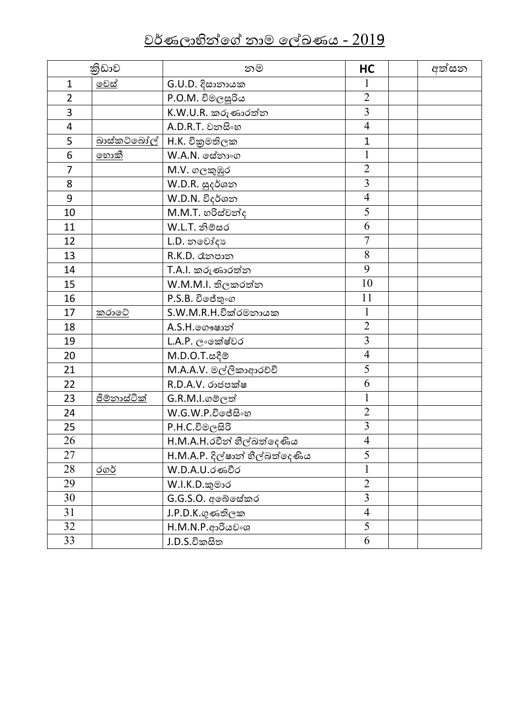|                | කිුඩාව              | නම                             | HC                      | අත්සන |
|----------------|---------------------|--------------------------------|-------------------------|-------|
| $\mathbf{1}$   | මෙස්                | G.U.D. දිසානායක                |                         |       |
| $\overline{2}$ |                     | P.O.M. විමලසූරිය               | $\overline{2}$          |       |
| 3              |                     | K.W.U.R. කරුණාරත්ත             | $\overline{\mathbf{3}}$ |       |
| 4              |                     | A.D.R.T. වනසිංහ                | $\overline{4}$          |       |
| 5              | <u>බාස්කට්බෝල්</u>  | H.K. විකුමතිලක                 | $\mathbf{1}$            |       |
| 6              | <u>හොකී</u>         | W.A.N. මස්තාංග                 | $\mathbf{1}$            |       |
| $\overline{7}$ |                     | M.V. ගලකුඹුර                   | $\overline{2}$          |       |
| 8              |                     | W.D.R. සුදර්ශන                 | $\overline{3}$          |       |
| 9              |                     | W.D.N. විදර්ශන                 | $\overline{4}$          |       |
| 10             |                     | M.M.T. හරිස්චන්ද               | $\overline{5}$          |       |
| 11             |                     | W.L.T. නිම්සර                  | 6                       |       |
| 12             |                     | L.D. නවෝදා                     | $\overline{7}$          |       |
| 13             |                     | R.K.D. dනපාන                   | 8                       |       |
| 14             |                     | T.A.I. කරුණාරත්න               | 9                       |       |
| 15             |                     | W.M.M.I. තිලකරත්න              | 10                      |       |
| 16             |                     | P.S.B. විජේතුංග                | 11                      |       |
| 17             | කරාවේ               | $S.W.M.R.H.$ වික්රමනායක        | 1                       |       |
| 18             |                     | A.S.H. o ගෟෂාන්                | $\overline{2}$          |       |
| 19             |                     | L.A.P. ලංකේෂ්වර                | $\overline{3}$          |       |
| 20             |                     | M.D.O.T.జ <sub>ర్</sub> లి     | $\overline{4}$          |       |
| 21             |                     | M.A.A.V. මල්ලිකාආරච්චි         | 5                       |       |
| 22             |                     | R.D.A.V. රාජපක්ෂ               | 6                       |       |
| 23             | <u>ජිම්නාස්ටික්</u> | G.R.M.I.ගමලත්                  | 1                       |       |
| 24             |                     | W.G.W.P.විජේසිංහ               | $\overline{2}$          |       |
| 25             |                     | $P.H.C.$ විමලසිරි              | $\overline{3}$          |       |
| 26             |                     | H.M.A.H.රවීන් හීල්බත්දෙණිය     | $\overline{4}$          |       |
| 27             |                     | H.M.A.P. දිල්ෂාන් හීල්බත්දෙණිය | 5                       |       |
| 28             | $\overline{000}$    | W.D.A.U.රණවීර                  |                         |       |
| 29             |                     | W.I.K.D.කුමාර                  | $\overline{2}$          |       |
| 30             |                     | G.G.S.O. අබේසේකර               | 3                       |       |
| 31             |                     | J.P.D.K.ගුණතිලක                | $\overline{4}$          |       |
| 32             |                     | H.M.N.P.ආරියවංශ                | $\overline{5}$          |       |
| 33             |                     | J.D.S.විකසිත                   | 6                       |       |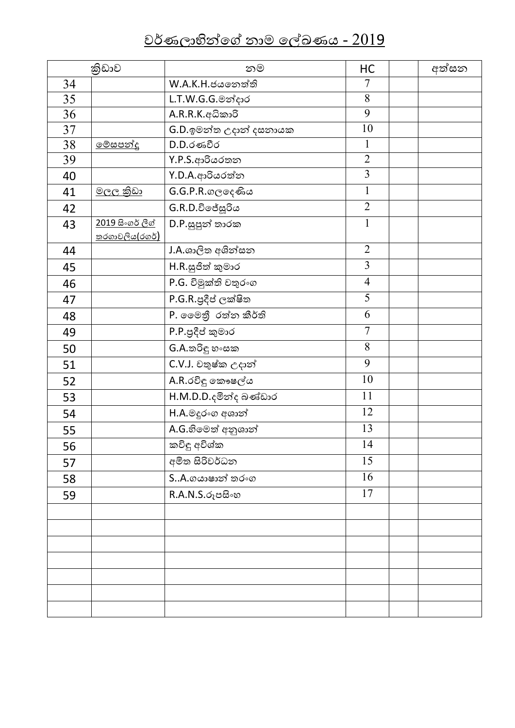|    | කිුඩාව                                           | නම                      | HC             | අත්සන |
|----|--------------------------------------------------|-------------------------|----------------|-------|
| 34 |                                                  | W.A.K.H.ජයතෙත්ති        | $\overline{7}$ |       |
| 35 |                                                  | L.T.W.G.G.මන්දාර        | 8              |       |
| 36 |                                                  | A.R.R.K.අධිකාරි         | 9              |       |
| 37 |                                                  | G.D.ඉමන්ත උදාන් දසනායක  | 10             |       |
| 38 | <u>මේසපන්දු</u>                                  | $D.D.$ රණවීර            | $\mathbf{1}$   |       |
| 39 |                                                  | Y.P.S.ආරියරතන           | $\overline{2}$ |       |
| 40 |                                                  | Y.D.A.ආරියරත්න          | $\overline{3}$ |       |
| 41 | <u>මලල කුිඩා</u>                                 | $G.G.P.R.\omega$ ලදෙණිය | $\mathbf{1}$   |       |
| 42 |                                                  | G.R.D.විජේසූරිය         | $\overline{2}$ |       |
| 43 | <u>2019 සිංගර් ලීග්</u><br><u>තරගාවලිය(රගර්)</u> | $D.P.$ සූපූන් තාරක      | $\mathbf 1$    |       |
| 44 |                                                  | J.A.ශාලිත අශින්සන       | $\overline{2}$ |       |
| 45 |                                                  | H.R.සුජිත් කුමාර        | $\overline{3}$ |       |
| 46 |                                                  | P.G. විමුක්ති චතුරංග    | $\overline{4}$ |       |
| 47 |                                                  | P.G.R.පුදීප් ලක්ෂිත     | 5              |       |
| 48 |                                                  | P. මෛතී රත්න කීර්ති     | 6              |       |
| 49 |                                                  | P.P.පුදීප් කුමාර        | $\overline{7}$ |       |
| 50 |                                                  | $G.A.$ තරිඳු හංසක       | 8              |       |
| 51 |                                                  | C.V.J. චතුෂ්ක උදාන්     | 9              |       |
| 52 |                                                  | A.R.රවිඳු කෞෂල්ය        | 10             |       |
| 53 |                                                  | H.M.D.D.දමින්ද බණ්ඩාර   | 11             |       |
| 54 |                                                  | H.A.මදූරංග අශාන්        | 12             |       |
| 55 |                                                  | A.G.හිමෙත් අනුශාන්      | 13             |       |
| 56 |                                                  | කවිඳු අවිශ්ක            | 14             |       |
| 57 |                                                  | අමිත සිරිවර්ධන          | 15             |       |
| 58 |                                                  | SA.ගයාෂාන් තරංග         | 16             |       |
| 59 |                                                  | R.A.N.S.රූපසිංහ         | 17             |       |
|    |                                                  |                         |                |       |
|    |                                                  |                         |                |       |
|    |                                                  |                         |                |       |
|    |                                                  |                         |                |       |
|    |                                                  |                         |                |       |
|    |                                                  |                         |                |       |
|    |                                                  |                         |                |       |